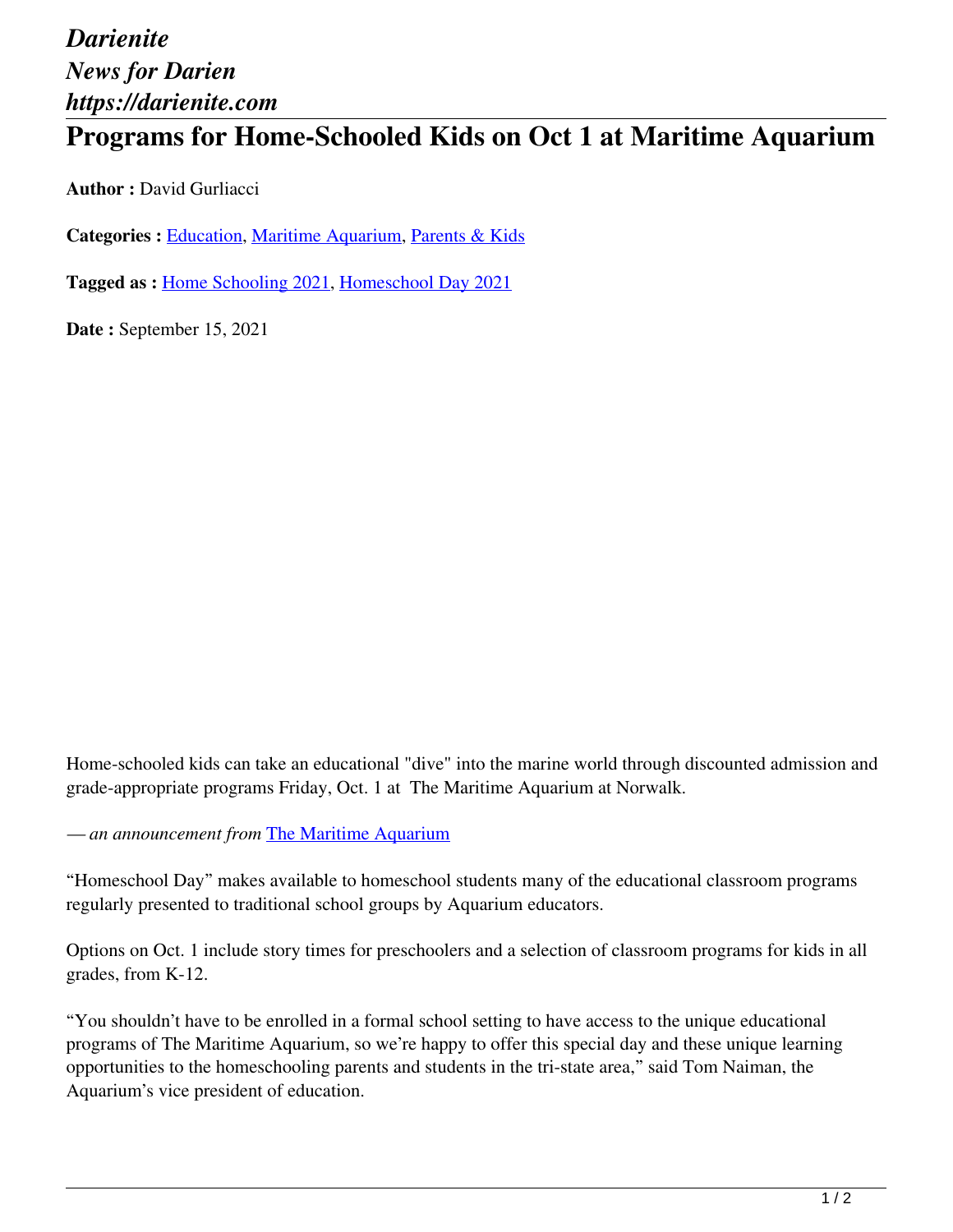## *Darienite News for Darien https://darienite.com*

## **Programs for Home-Schooled Kids on Oct 1 at Maritime Aquarium**

**Author :** David Gurliacci

**Categories :** [Education,](https://darienite.com/category/news/education) Maritime Aquarium, Parents & Kids

**Tagged as :** Home Schooling 2021, Homeschool Day 2021

**Date :** September 15, 2021

Home-schooled kids can take an educational "dive" into the marine world through discounted admission and grade-appropriate programs Friday, Oct. 1 at The Maritime Aquarium at Norwalk.

*— an announcement from* The Maritime Aquarium

"Homeschool Day" makes available to homeschool students many of the educational classroom programs regularly presented to traditional school groups by Aquarium educators.

Options on Oct. 1 include story times for preschoolers and a selection of classroom programs for kids in all grades, from K-12.

"You shouldn't have to be enrolled in a formal school setting to have access to the unique educational programs of The Maritime Aquarium, so we're happy to offer this special day and these unique learning opportunities to the homeschooling parents and students in the tri-state area," said Tom Naiman, the Aquarium's vice president of education.